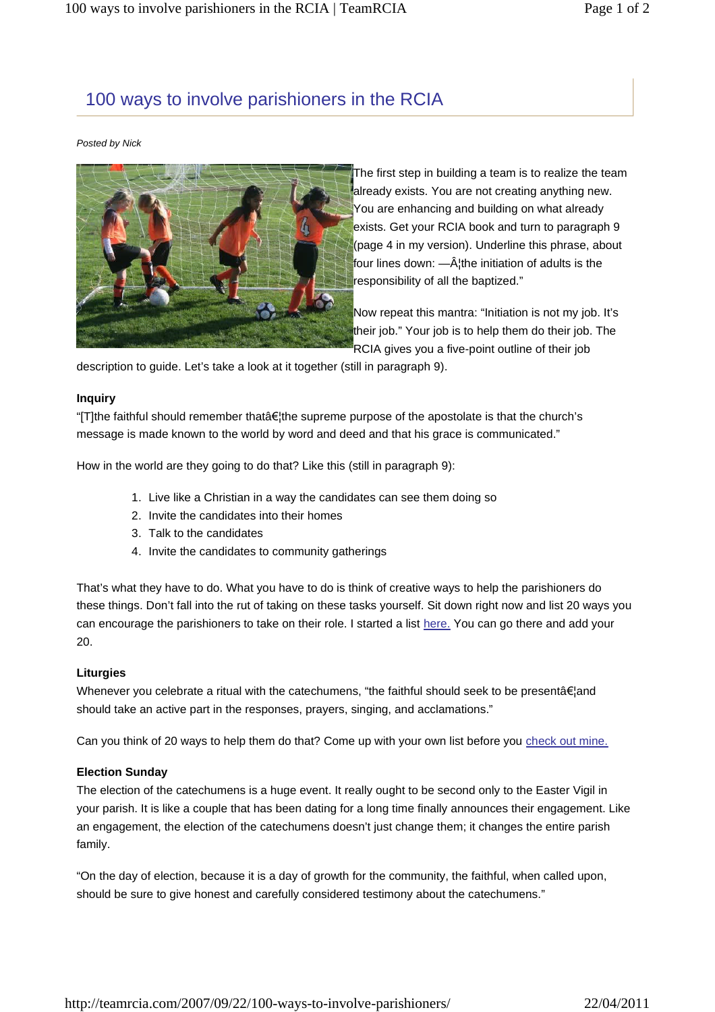## 100 ways to involve parishioners in the RCIA

#### *Posted by Nick*



The first step in building a team is to realize the team already exists. You are not creating anything new. You are enhancing and building on what already exists. Get your RCIA book and turn to paragraph 9 (page 4 in my version). Underline this phrase, about four lines down:  $-\hat{A}$  the initiation of adults is the responsibility of all the baptized."

Now repeat this mantra: "Initiation is not my job. It's their job." Your job is to help them do their job. The RCIA gives you a five-point outline of their job

description to guide. Let's take a look at it together (still in paragraph 9).

#### **Inquiry**

"[T]the faithful should remember thatâ€¦the supreme purpose of the apostolate is that the church's message is made known to the world by word and deed and that his grace is communicated."

How in the world are they going to do that? Like this (still in paragraph 9):

- 1. Live like a Christian in a way the candidates can see them doing so
- 2. Invite the candidates into their homes
- 3. Talk to the candidates
- 4. Invite the candidates to community gatherings

That's what they have to do. What you have to do is think of creative ways to help the parishioners do these things. Don't fall into the rut of taking on these tasks yourself. Sit down right now and list 20 ways you can encourage the parishioners to take on their role. I started a list here. You can go there and add your 20.

#### **Liturgies**

Whenever you celebrate a ritual with the catechumens, "the faithful should seek to be presentâ€¦and should take an active part in the responses, prayers, singing, and acclamations."

Can you think of 20 ways to help them do that? Come up with your own list before you check out mine.

#### **Election Sunday**

The election of the catechumens is a huge event. It really ought to be second only to the Easter Vigil in your parish. It is like a couple that has been dating for a long time finally announces their engagement. Like an engagement, the election of the catechumens doesn't just change them; it changes the entire parish family.

"On the day of election, because it is a day of growth for the community, the faithful, when called upon, should be sure to give honest and carefully considered testimony about the catechumens."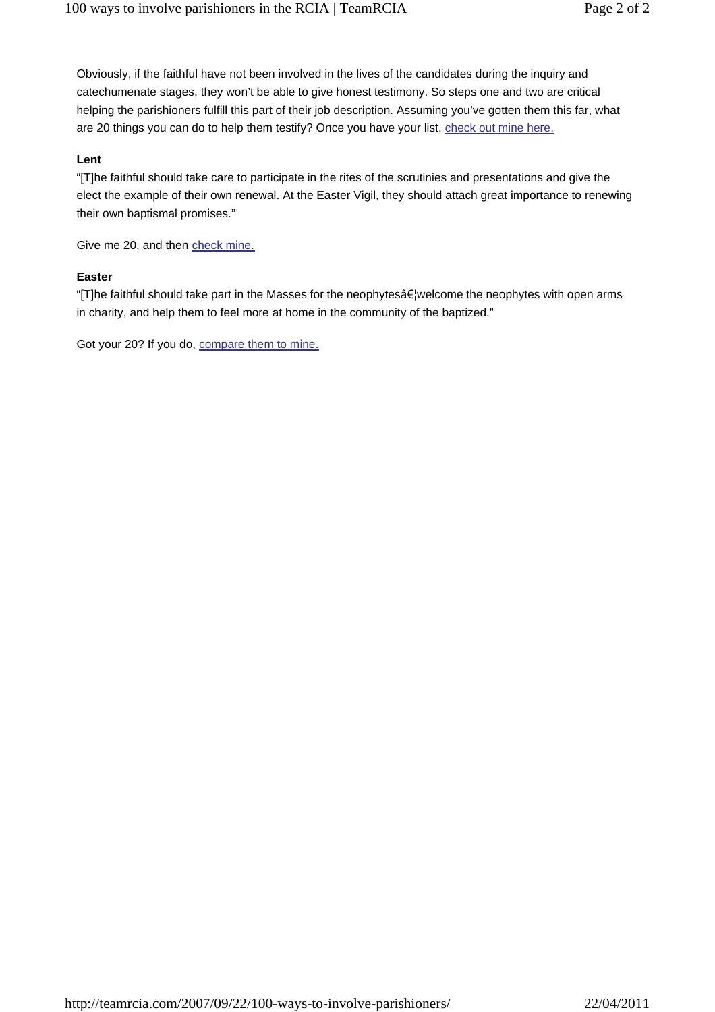Obviously, if the faithful have not been involved in the lives of the candidates during the inquiry and catechumenate stages, they won't be able to give honest testimony. So steps one and two are critical helping the parishioners fulfill this part of their job description. Assuming you've gotten them this far, what are 20 things you can do to help them testify? Once you have your list, check out mine here.

### **Lent**

"[T]he faithful should take care to participate in the rites of the scrutinies and presentations and give the elect the example of their own renewal. At the Easter Vigil, they should attach great importance to renewing their own baptismal promises."

Give me 20, and then check mine.

#### **Easter**

"[T]he faithful should take part in the Masses for the neophytesâ€¦welcome the neophytes with open arms in charity, and help them to feel more at home in the community of the baptized."

Got your 20? If you do, compare them to mine.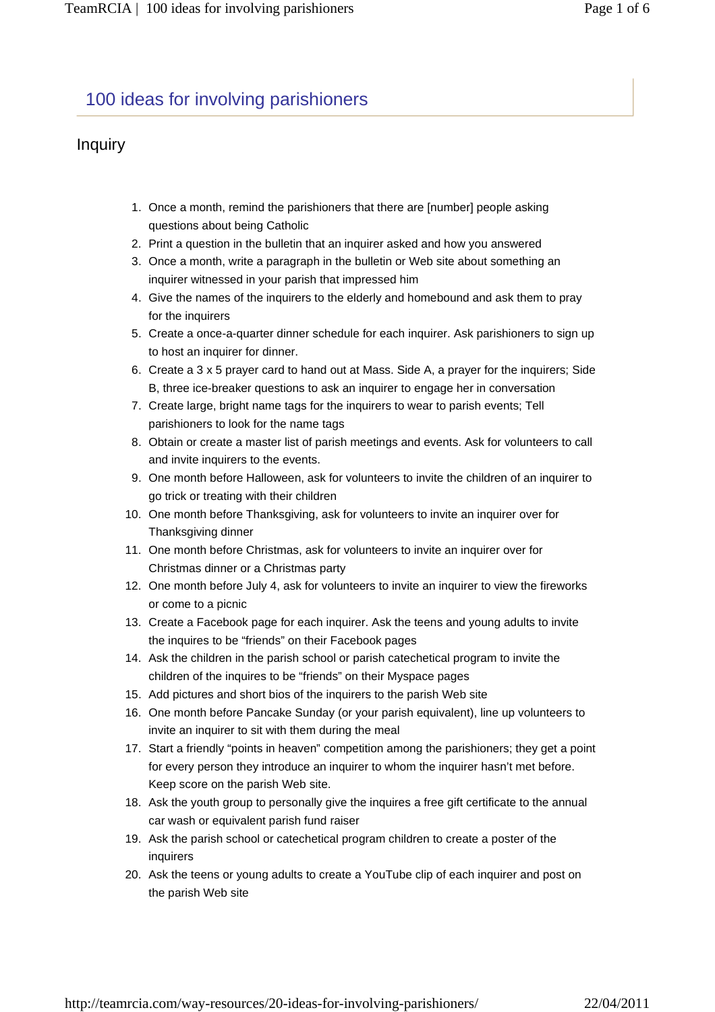# 100 ideas for involving parishioners

### Inquiry

- 1. Once a month, remind the parishioners that there are [number] people asking questions about being Catholic
- 2. Print a question in the bulletin that an inquirer asked and how you answered
- 3. Once a month, write a paragraph in the bulletin or Web site about something an inquirer witnessed in your parish that impressed him
- 4. Give the names of the inquirers to the elderly and homebound and ask them to pray for the inquirers
- 5. Create a once-a-quarter dinner schedule for each inquirer. Ask parishioners to sign up to host an inquirer for dinner.
- 6. Create a 3 x 5 prayer card to hand out at Mass. Side A, a prayer for the inquirers; Side B, three ice-breaker questions to ask an inquirer to engage her in conversation
- 7. Create large, bright name tags for the inquirers to wear to parish events; Tell parishioners to look for the name tags
- 8. Obtain or create a master list of parish meetings and events. Ask for volunteers to call and invite inquirers to the events.
- 9. One month before Halloween, ask for volunteers to invite the children of an inquirer to go trick or treating with their children
- 10. One month before Thanksgiving, ask for volunteers to invite an inquirer over for Thanksgiving dinner
- 11. One month before Christmas, ask for volunteers to invite an inquirer over for Christmas dinner or a Christmas party
- 12. One month before July 4, ask for volunteers to invite an inquirer to view the fireworks or come to a picnic
- 13. Create a Facebook page for each inquirer. Ask the teens and young adults to invite the inquires to be "friends" on their Facebook pages
- 14. Ask the children in the parish school or parish catechetical program to invite the children of the inquires to be "friends" on their Myspace pages
- 15. Add pictures and short bios of the inquirers to the parish Web site
- 16. One month before Pancake Sunday (or your parish equivalent), line up volunteers to invite an inquirer to sit with them during the meal
- 17. Start a friendly "points in heaven" competition among the parishioners; they get a point for every person they introduce an inquirer to whom the inquirer hasn't met before. Keep score on the parish Web site.
- 18. Ask the youth group to personally give the inquires a free gift certificate to the annual car wash or equivalent parish fund raiser
- Ask the parish school or catechetical program children to create a poster of the 19. inquirers
- 20. Ask the teens or young adults to create a YouTube clip of each inquirer and post on the parish Web site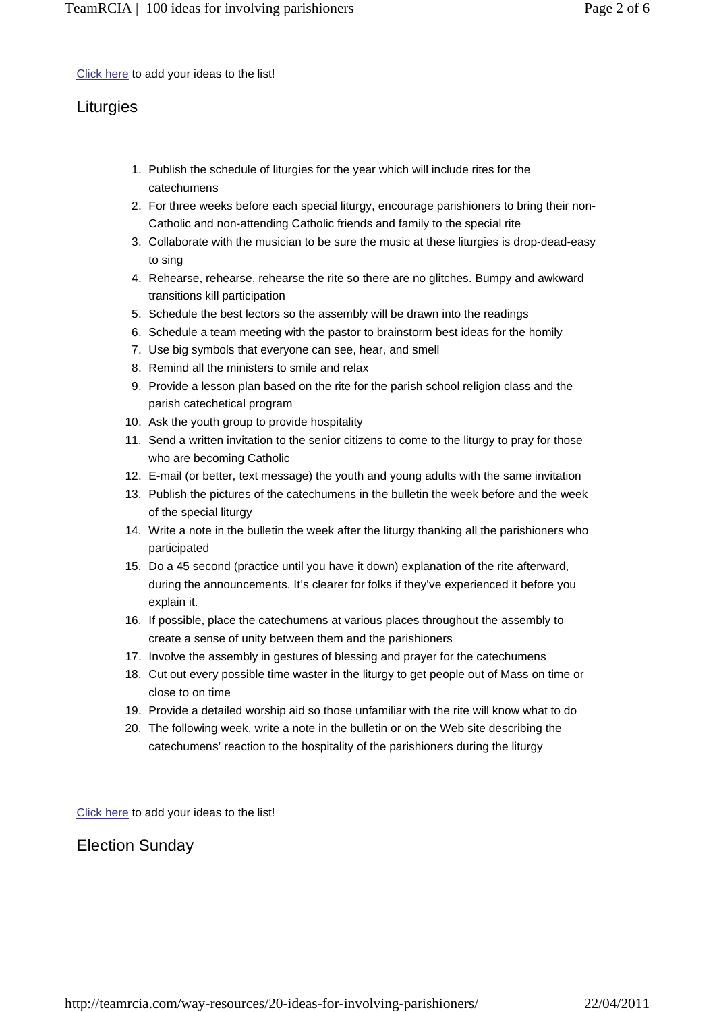Click here to add your ideas to the list!

## **Liturgies**

- 1. Publish the schedule of liturgies for the year which will include rites for the catechumens
- 2. For three weeks before each special liturgy, encourage parishioners to bring their non-Catholic and non-attending Catholic friends and family to the special rite
- 3. Collaborate with the musician to be sure the music at these liturgies is drop-dead-easy to sing
- 4. Rehearse, rehearse, rehearse the rite so there are no glitches. Bumpy and awkward transitions kill participation
- 5. Schedule the best lectors so the assembly will be drawn into the readings
- 6. Schedule a team meeting with the pastor to brainstorm best ideas for the homily
- 7. Use big symbols that everyone can see, hear, and smell
- 8. Remind all the ministers to smile and relax.
- 9. Provide a lesson plan based on the rite for the parish school religion class and the parish catechetical program
- 10. Ask the youth group to provide hospitality
- 11. Send a written invitation to the senior citizens to come to the liturgy to pray for those who are becoming Catholic
- 12. E-mail (or better, text message) the youth and young adults with the same invitation
- 13. Publish the pictures of the catechumens in the bulletin the week before and the week of the special liturgy
- Write a note in the bulletin the week after the liturgy thanking all the parishioners who 14. participated
- 15. Do a 45 second (practice until you have it down) explanation of the rite afterward, during the announcements. It's clearer for folks if they've experienced it before you explain it.
- If possible, place the catechumens at various places throughout the assembly to 16. create a sense of unity between them and the parishioners
- 17. Involve the assembly in gestures of blessing and prayer for the catechumens
- 18. Cut out every possible time waster in the liturgy to get people out of Mass on time or close to on time
- 19. Provide a detailed worship aid so those unfamiliar with the rite will know what to do
- 20. The following week, write a note in the bulletin or on the Web site describing the catechumens' reaction to the hospitality of the parishioners during the liturgy

Click here to add your ideas to the list!

## Election Sunday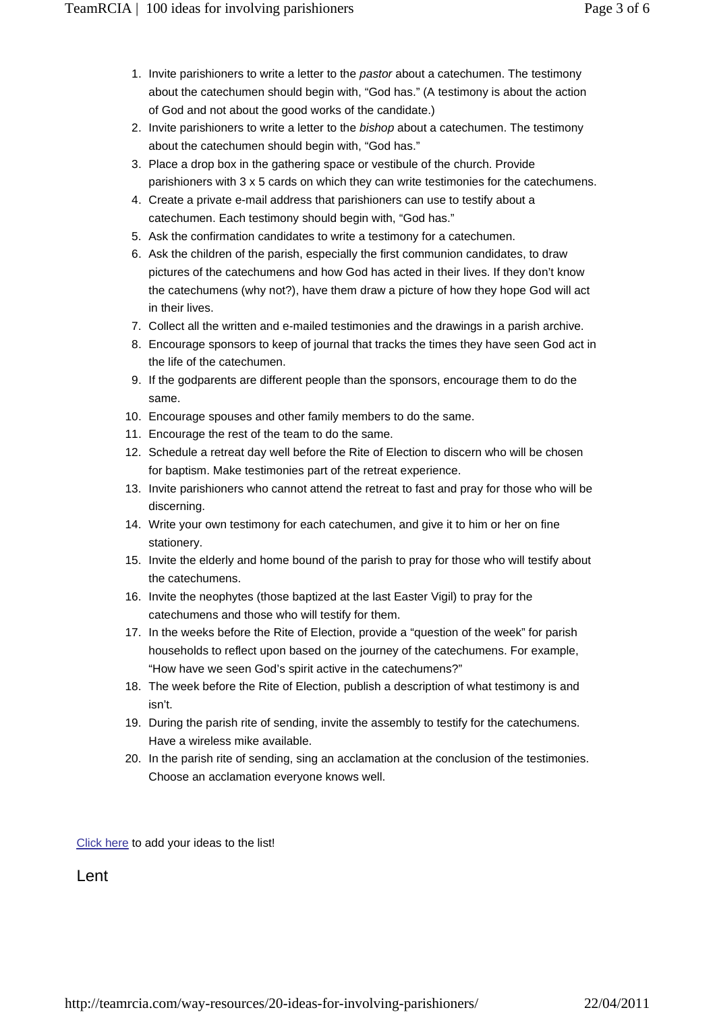- 1. Invite parishioners to write a letter to the *pastor* about a catechumen. The testimony about the catechumen should begin with, "God has." (A testimony is about the action of God and not about the good works of the candidate.)
- 2. Invite parishioners to write a letter to the *bishop* about a catechumen. The testimony about the catechumen should begin with, "God has."
- 3. Place a drop box in the gathering space or vestibule of the church. Provide parishioners with 3 x 5 cards on which they can write testimonies for the catechumens.
- 4. Create a private e-mail address that parishioners can use to testify about a catechumen. Each testimony should begin with, "God has."
- 5. Ask the confirmation candidates to write a testimony for a catechumen.
- 6. Ask the children of the parish, especially the first communion candidates, to draw pictures of the catechumens and how God has acted in their lives. If they don't know the catechumens (why not?), have them draw a picture of how they hope God will act in their lives.
- 7. Collect all the written and e-mailed testimonies and the drawings in a parish archive.
- Encourage sponsors to keep of journal that tracks the times they have seen God act in 8. the life of the catechumen.
- 9. If the godparents are different people than the sponsors, encourage them to do the same.
- 10. Encourage spouses and other family members to do the same.
- 11. Encourage the rest of the team to do the same.
- 12. Schedule a retreat day well before the Rite of Election to discern who will be chosen for baptism. Make testimonies part of the retreat experience.
- 13. Invite parishioners who cannot attend the retreat to fast and pray for those who will be discerning.
- 14. Write your own testimony for each catechumen, and give it to him or her on fine stationery.
- 15. Invite the elderly and home bound of the parish to pray for those who will testify about the catechumens.
- 16. Invite the neophytes (those baptized at the last Easter Vigil) to pray for the catechumens and those who will testify for them.
- 17. In the weeks before the Rite of Election, provide a "question of the week" for parish households to reflect upon based on the journey of the catechumens. For example, "How have we seen God's spirit active in the catechumens?"
- 18. The week before the Rite of Election, publish a description of what testimony is and isn't.
- 19. During the parish rite of sending, invite the assembly to testify for the catechumens. Have a wireless mike available.
- 20. In the parish rite of sending, sing an acclamation at the conclusion of the testimonies. Choose an acclamation everyone knows well.

Click here to add your ideas to the list!

**Lent**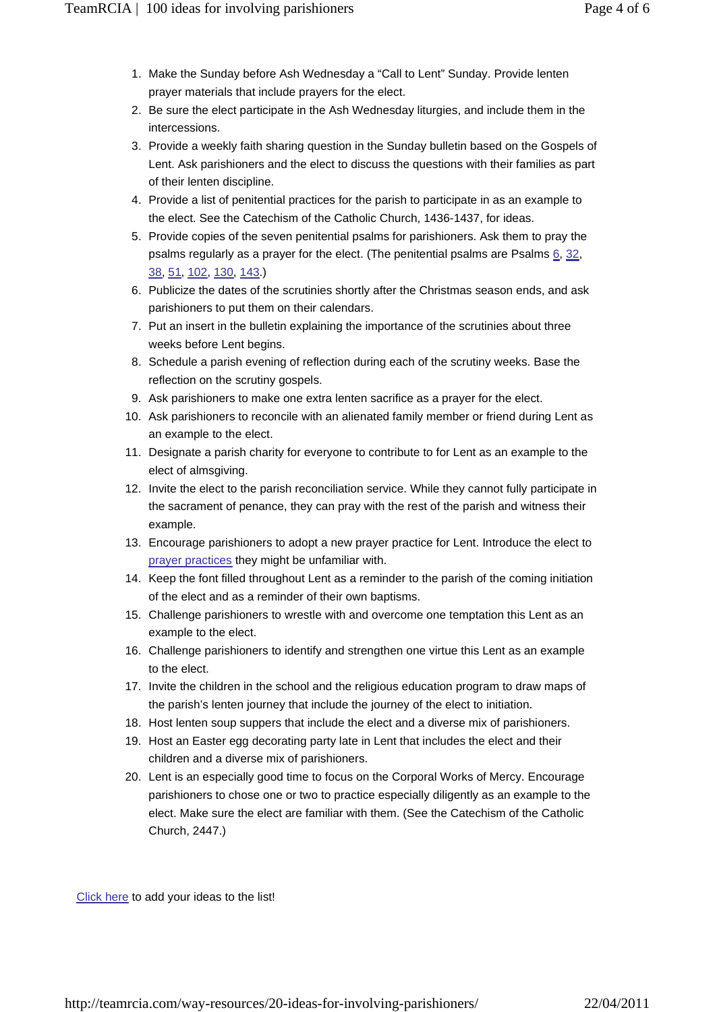- 1. Make the Sunday before Ash Wednesday a "Call to Lent" Sunday. Provide lenten prayer materials that include prayers for the elect.
- 2. Be sure the elect participate in the Ash Wednesday liturgies, and include them in the intercessions.
- 3. Provide a weekly faith sharing question in the Sunday bulletin based on the Gospels of Lent. Ask parishioners and the elect to discuss the questions with their families as part of their lenten discipline.
- 4. Provide a list of penitential practices for the parish to participate in as an example to the elect. See the Catechism of the Catholic Church, 1436-1437, for ideas.
- 5. Provide copies of the seven penitential psalms for parishioners. Ask them to pray the psalms regularly as a prayer for the elect. (The penitential psalms are Psalms 6, 32, 38, 51, 102, 130, 143.)
- 6. Publicize the dates of the scrutinies shortly after the Christmas season ends, and ask parishioners to put them on their calendars.
- 7. Put an insert in the bulletin explaining the importance of the scrutinies about three weeks before Lent begins.
- Schedule a parish evening of reflection during each of the scrutiny weeks. Base the 8. reflection on the scrutiny gospels.
- 9. Ask parishioners to make one extra lenten sacrifice as a prayer for the elect.
- 10. Ask parishioners to reconcile with an alienated family member or friend during Lent as an example to the elect.
- 11. Designate a parish charity for everyone to contribute to for Lent as an example to the elect of almsgiving.
- 12. Invite the elect to the parish reconciliation service. While they cannot fully participate in the sacrament of penance, they can pray with the rest of the parish and witness their example.
- Encourage parishioners to adopt a new prayer practice for Lent. Introduce the elect to 13. prayer practices they might be unfamiliar with.
- 14. Keep the font filled throughout Lent as a reminder to the parish of the coming initiation of the elect and as a reminder of their own baptisms.
- 15. Challenge parishioners to wrestle with and overcome one temptation this Lent as an example to the elect.
- 16. Challenge parishioners to identify and strengthen one virtue this Lent as an example to the elect.
- 17. Invite the children in the school and the religious education program to draw maps of the parish's lenten journey that include the journey of the elect to initiation.
- 18. Host lenten soup suppers that include the elect and a diverse mix of parishioners.
- 19. Host an Easter egg decorating party late in Lent that includes the elect and their children and a diverse mix of parishioners.
- 20. Lent is an especially good time to focus on the Corporal Works of Mercy. Encourage parishioners to chose one or two to practice especially diligently as an example to the elect. Make sure the elect are familiar with them. (See the Catechism of the Catholic Church, 2447.)

Click here to add your ideas to the list!